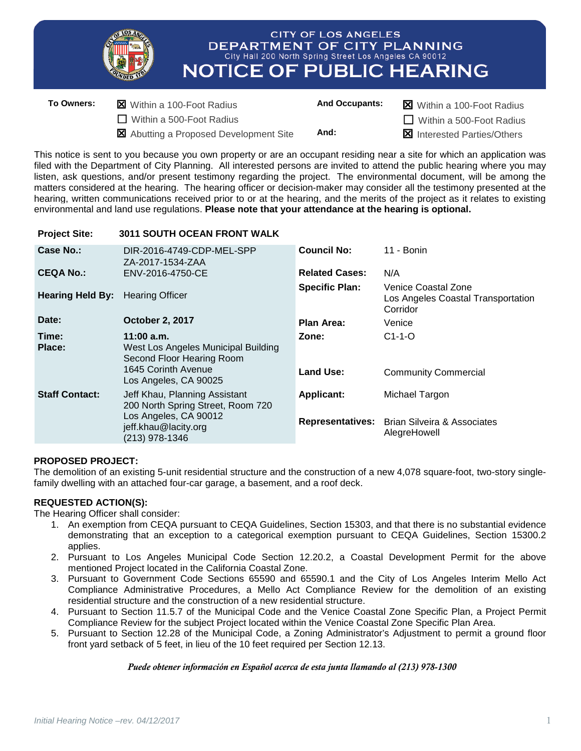|            |                                                               | <b>CITY OF LOS ANGELES</b><br>DEPARTMENT OF CITY PLANNING<br>City Hall 200 North Spring Street Los Angeles CA 90012<br><b>NOTICE OF PUBLIC HEARING</b> |                       |                                                                      |
|------------|---------------------------------------------------------------|--------------------------------------------------------------------------------------------------------------------------------------------------------|-----------------------|----------------------------------------------------------------------|
| To Owners: | X Within a 100-Foot Radius<br>$\Box$ Within a 500-Foot Radius |                                                                                                                                                        | <b>And Occupants:</b> | <b>X</b> Within a 100-Foot Radius<br>$\Box$ Within a 500-Foot Radius |

Abutting a Proposed Development Site **And:** Interested Parties/Others

This notice is sent to you because you own property or are an occupant residing near a site for which an application was filed with the Department of City Planning. All interested persons are invited to attend the public hearing where you may listen, ask questions, and/or present testimony regarding the project. The environmental document, will be among the matters considered at the hearing. The hearing officer or decision-maker may consider all the testimony presented at the hearing, written communications received prior to or at the hearing, and the merits of the project as it relates to existing environmental and land use regulations. **Please note that your attendance at the hearing is optional.**

#### **Project Site: 3011 SOUTH OCEAN FRONT WALK Case No.:** DIR-2016-4749-CDP-MEL-SPP ZA-2017-1534-ZAA **Council No:** 11 - Bonin **CEQA No.:** ENV-2016-4750-CE **Related Cases:** N/A **Hearing Held By:** Hearing Officer **Specific Plan:** Venice Coastal Zone Los Angeles Coastal Transportation **Corridor Date: October 2, 2017 Plan Area:** Venice **Time: 11:00 a.m. Zone:** C1-1-O **Place:** West Los Angeles Municipal Building Second Floor Hearing Room 1645 Corinth Avenue Los Angeles, CA 90025 **Land Use:** Community Commercial **Staff Contact:** Jeff Khau, Planning Assistant 200 North Spring Street, Room 720 Los Angeles, CA 90012 jeff.khau@lacity.org (213) 978-1346 **Applicant:** Michael Targon **Representatives:** Brian Silveira & Associates AlegreHowell

## **PROPOSED PROJECT:**

The demolition of an existing 5-unit residential structure and the construction of a new 4,078 square-foot, two-story singlefamily dwelling with an attached four-car garage, a basement, and a roof deck.

# **REQUESTED ACTION(S):**

The Hearing Officer shall consider:

- 1. An exemption from CEQA pursuant to CEQA Guidelines, Section 15303, and that there is no substantial evidence demonstrating that an exception to a categorical exemption pursuant to CEQA Guidelines, Section 15300.2 applies.
- 2. Pursuant to Los Angeles Municipal Code Section 12.20.2, a Coastal Development Permit for the above mentioned Project located in the California Coastal Zone.
- 3. Pursuant to Government Code Sections 65590 and 65590.1 and the City of Los Angeles Interim Mello Act Compliance Administrative Procedures, a Mello Act Compliance Review for the demolition of an existing residential structure and the construction of a new residential structure.
- 4. Pursuant to Section 11.5.7 of the Municipal Code and the Venice Coastal Zone Specific Plan, a Project Permit Compliance Review for the subject Project located within the Venice Coastal Zone Specific Plan Area.
- 5. Pursuant to Section 12.28 of the Municipal Code, a Zoning Administrator's Adjustment to permit a ground floor front yard setback of 5 feet, in lieu of the 10 feet required per Section 12.13.

### *Puede obtener información en Español acerca de esta junta llamando al (213) 978-1300*